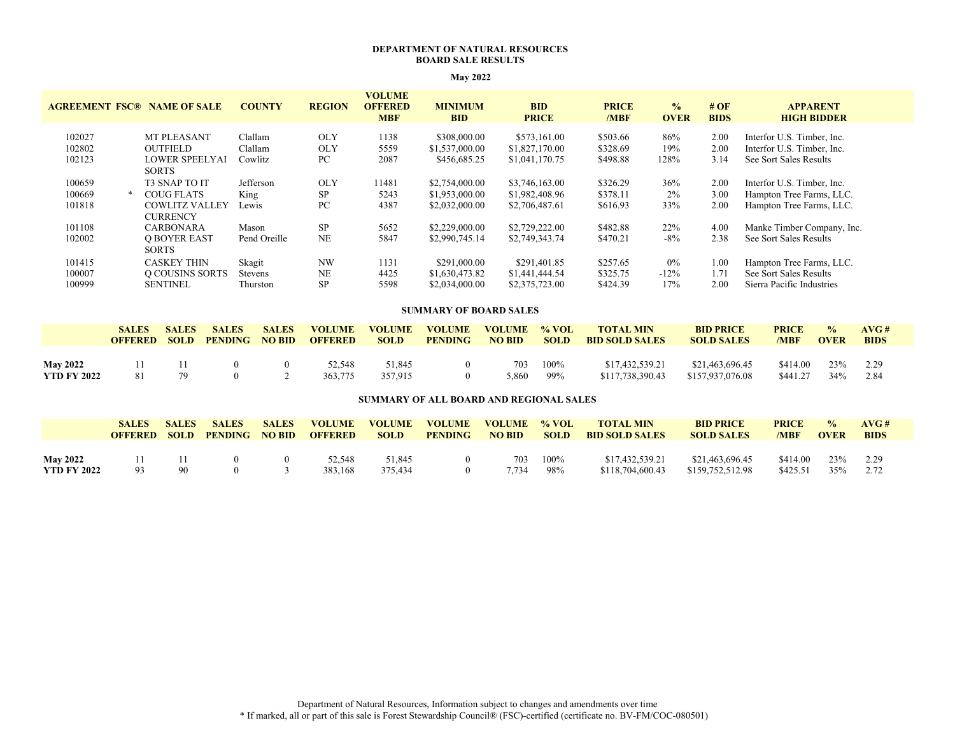## **DEPARTMENT OF NATURAL RESOURCES BOARD SALE RESULTS**

| <b>AGREEMENT FSC®</b>      | <b>NAME OF SALE</b>                                                            | <b>COUNTY</b>                        | <b>REGION</b>                  | <b>VOLUME</b><br><b>OFFERED</b><br><b>MBF</b> | <b>MINIMUM</b><br><b>BID</b>                       | <b>BID</b><br><b>PRICE</b>                         | <b>PRICE</b><br>/MBF             | $\frac{0}{0}$<br><b>OVER</b> | #OF<br><b>BIDS</b>   | <b>APPARENT</b><br><b>HIGH BIDDER</b>                                              |
|----------------------------|--------------------------------------------------------------------------------|--------------------------------------|--------------------------------|-----------------------------------------------|----------------------------------------------------|----------------------------------------------------|----------------------------------|------------------------------|----------------------|------------------------------------------------------------------------------------|
| 102027<br>102802<br>102123 | <b>MT PLEASANT</b><br><b>OUTFIELD</b><br><b>LOWER SPEELYAI</b><br><b>SORTS</b> | Clallam<br>Clallam<br>Cowlitz        | <b>OLY</b><br><b>OLY</b><br>PC | 1138<br>5559<br>2087                          | \$308,000.00<br>\$1,537,000.00<br>\$456,685.25     | \$573,161.00<br>\$1,827,170.00<br>\$1,041,170.75   | \$503.66<br>\$328.69<br>\$498.88 | 86%<br>19%<br>128%           | 2.00<br>2.00<br>3.14 | Interfor U.S. Timber, Inc.<br>Interfor U.S. Timber, Inc.<br>See Sort Sales Results |
| 100659<br>100669<br>101818 | <b>T3 SNAP TO IT</b><br>COUG FLATS<br><b>COWLITZ VALLEY</b><br><b>CURRENCY</b> | Jefferson<br>King<br>Lewis           | <b>OLY</b><br><b>SP</b><br>PC. | 11481<br>5243<br>4387                         | \$2,754,000.00<br>\$1,953,000.00<br>\$2,032,000.00 | \$3,746,163.00<br>\$1,982,408.96<br>\$2,706,487.61 | \$326.29<br>\$378.11<br>\$616.93 | 36%<br>$2\%$<br>33%          | 2.00<br>3.00<br>2.00 | Interfor U.S. Timber, Inc.<br>Hampton Tree Farms, LLC.<br>Hampton Tree Farms, LLC. |
| 101108<br>102002           | CARBONARA<br><b>Q BOYER EAST</b><br><b>SORTS</b>                               | Mason<br>Pend Oreille                | <b>SP</b><br>NE                | 5652<br>5847                                  | \$2,229,000.00<br>\$2,990,745.14                   | \$2,729,222.00<br>\$2,749,343.74                   | \$482.88<br>\$470.21             | 22%<br>$-8\%$                | 4.00<br>2.38         | Manke Timber Company, Inc.<br>See Sort Sales Results                               |
| 101415<br>100007<br>100999 | <b>CASKEY THIN</b><br>O COUSINS SORTS<br><b>SENTINEL</b>                       | Skagit<br><b>Stevens</b><br>Thurston | <b>NW</b><br>NE<br><b>SP</b>   | 1131<br>4425<br>5598                          | \$291,000.00<br>\$1,630,473.82<br>\$2,034,000.00   | \$291,401.85<br>\$1,441,444.54<br>\$2,375,723.00   | \$257.65<br>\$325.75<br>\$424.39 | $0\%$<br>$-12\%$<br>17%      | 1.00<br>1.71<br>2.00 | Hampton Tree Farms, LLC.<br>See Sort Sales Results<br>Sierra Pacific Industries    |

# **May 2022**

#### **SUMMARY OF BOARD SALES**

|                    | <b>SALES</b><br><b>OFFERED</b> | <b>SALES</b> | <b>SALES</b><br><b>SOLD PENDING NO BID</b> | <b>SALES</b> | <b>VOLUME</b><br><b>OFFERED</b> | <b>VOLUME</b><br><b>SOLD</b> | <b>VOLUME</b><br><b>PENDING</b> | <b>VOLUME</b><br><b>NO BID</b> | $\%$ VOL<br><b>SOLD</b> | <b>TOTAL MIN</b><br><b>BID SOLD SALES</b> | <b>BID PRICE</b><br><b>SOLD SALES</b> | <b>PRICE</b><br>/MBF | $\frac{0}{0}$<br><b>OVER</b> | AVG#<br><b>BIDS</b> |
|--------------------|--------------------------------|--------------|--------------------------------------------|--------------|---------------------------------|------------------------------|---------------------------------|--------------------------------|-------------------------|-------------------------------------------|---------------------------------------|----------------------|------------------------------|---------------------|
| <b>May 2022</b>    |                                | -11          | $^{\circ}$                                 | $\mathbf{0}$ | 52.548                          | 51.845                       | $^{\circ}$                      | 703                            | 100%                    | \$17,432,539.21                           | \$21,463,696.45                       | \$414.00             | 23%                          | 2.29                |
| <b>YTD FY 2022</b> | 81                             | 79           | $^{\circ}$                                 |              | 363,775                         | 357,915                      |                                 | 5.860                          | 99%                     | \$117,738,390.43                          | \$157,937,076.08                      | \$441.27             | 34%                          | - 2.84              |

#### **SUMMARY OF ALL BOARD AND REGIONAL SALES**

|                    | <b>SALES</b><br><b>OFFERED</b> | <b>SALES</b><br><b>SOLD</b> | <b>SALES</b><br><b>PENDING</b> | <b>SALES</b><br><b>NO BID</b> | <b>VOLUME</b><br><b>OFFERED</b> | <b>VOLUME</b><br><b>SOLD</b> | <b>VOLUME</b><br><b>PENDING</b> | <b>VOLUME</b><br><b>NO BID</b> | $%$ VOL<br><b>SOLD</b> | <b>TOTAL MIN</b><br><b>BID SOLD SALES</b> | <b>BID PRICE</b><br><b>SOLD SALES</b> | <b>PRICE</b><br>/MBF | $\frac{0}{0}$<br><b>OVER</b> | AVG#<br><b>BIDS</b> |
|--------------------|--------------------------------|-----------------------------|--------------------------------|-------------------------------|---------------------------------|------------------------------|---------------------------------|--------------------------------|------------------------|-------------------------------------------|---------------------------------------|----------------------|------------------------------|---------------------|
|                    |                                |                             |                                |                               |                                 |                              |                                 |                                |                        |                                           |                                       |                      |                              |                     |
| <b>May 2022</b>    |                                |                             |                                |                               | 52.548                          | 51.845                       |                                 | 703                            | 100%                   | \$17,432,539.21                           | \$21,463,696.45                       | \$414.00             | 23%                          | 2.29                |
| <b>YTD FY 2022</b> | 93                             | 90                          |                                |                               | 383.168                         | 375.434                      |                                 | 7.734                          | 98%                    | \$118,704,600.43                          | \$159,752,512.98                      | \$425.51             | 35%                          | 2.72                |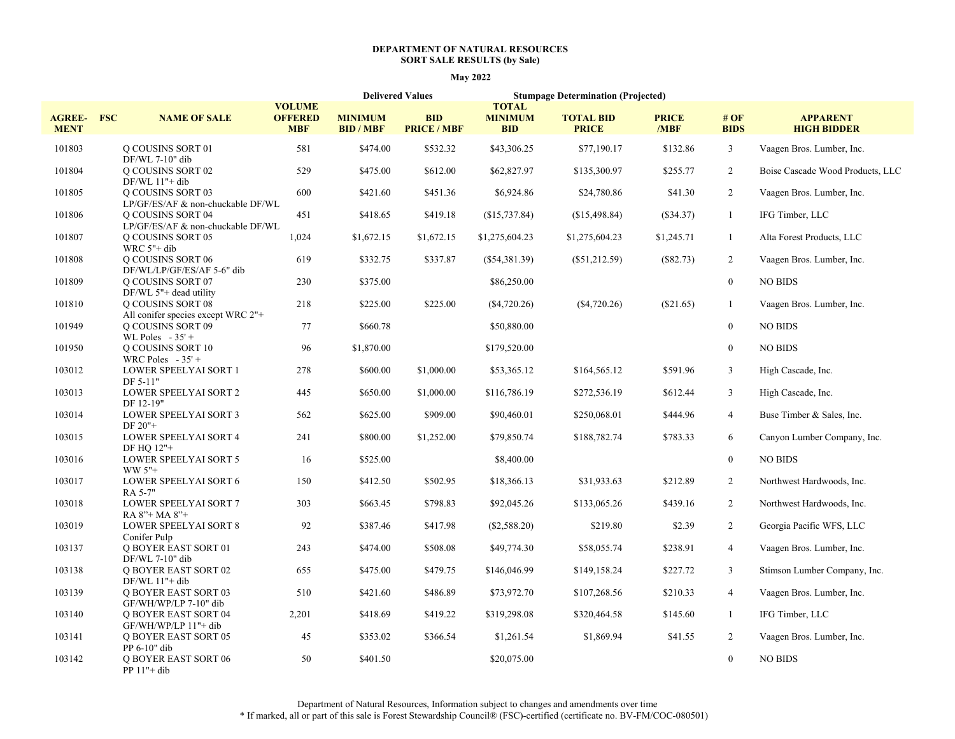#### **DEPARTMENT OF NATURAL RESOURCES SORT SALE RESULTS (by Sale)**

## **May 2022**

|                              |                                                               |                                               |                                    | <b>Delivered Values</b>          | <b>Stumpage Determination (Projected)</b>    |                                  |                      |                    |                                       |
|------------------------------|---------------------------------------------------------------|-----------------------------------------------|------------------------------------|----------------------------------|----------------------------------------------|----------------------------------|----------------------|--------------------|---------------------------------------|
| <b>AGREE-</b><br><b>MENT</b> | <b>FSC</b><br><b>NAME OF SALE</b>                             | <b>VOLUME</b><br><b>OFFERED</b><br><b>MBF</b> | <b>MINIMUM</b><br><b>BID / MBF</b> | <b>BID</b><br><b>PRICE / MBF</b> | <b>TOTAL</b><br><b>MINIMUM</b><br><b>BID</b> | <b>TOTAL BID</b><br><b>PRICE</b> | <b>PRICE</b><br>/MBF | #OF<br><b>BIDS</b> | <b>APPARENT</b><br><b>HIGH BIDDER</b> |
| 101803                       | Q COUSINS SORT 01<br>DF/WL 7-10" dib                          | 581                                           | \$474.00                           | \$532.32                         | \$43,306.25                                  | \$77,190.17                      | \$132.86             | $\mathfrak{Z}$     | Vaagen Bros. Lumber, Inc.             |
| 101804                       | <b>Q COUSINS SORT 02</b><br>$DF/WL$ 11"+ dib                  | 529                                           | \$475.00                           | \$612.00                         | \$62,827.97                                  | \$135,300.97                     | \$255.77             | $\overline{2}$     | Boise Cascade Wood Products, LLC      |
| 101805                       | <b>Q COUSINS SORT 03</b><br>LP/GF/ES/AF & non-chuckable DF/WL | 600                                           | \$421.60                           | \$451.36                         | \$6,924.86                                   | \$24,780.86                      | \$41.30              | $\overline{c}$     | Vaagen Bros. Lumber, Inc.             |
| 101806                       | <b>Q COUSINS SORT 04</b><br>LP/GF/ES/AF & non-chuckable DF/WL | 451                                           | \$418.65                           | \$419.18                         | (\$15,737.84)                                | (\$15,498.84)                    | (\$34.37)            | -1                 | IFG Timber, LLC                       |
| 101807                       | O COUSINS SORT 05<br>WRC $5"$ + dib                           | 1,024                                         | \$1,672.15                         | \$1,672.15                       | \$1,275,604.23                               | \$1,275,604.23                   | \$1,245.71           | $\mathbf{1}$       | Alta Forest Products, LLC             |
| 101808                       | <b>Q COUSINS SORT 06</b><br>DF/WL/LP/GF/ES/AF 5-6" dib        | 619                                           | \$332.75                           | \$337.87                         | $(\$54,381.39)$                              | $(\$51,212.59)$                  | $(\$82.73)$          | 2                  | Vaagen Bros. Lumber, Inc.             |
| 101809                       | O COUSINS SORT 07<br>DF/WL 5"+ dead utility                   | 230                                           | \$375.00                           |                                  | \$86,250.00                                  |                                  |                      | $\mathbf{0}$       | <b>NO BIDS</b>                        |
| 101810                       | Q COUSINS SORT 08<br>All conifer species except WRC 2"+       | 218                                           | \$225.00                           | \$225.00                         | $(\$4,720.26)$                               | (\$4,720.26)                     | $(\$21.65)$          | $\mathbf{1}$       | Vaagen Bros. Lumber, Inc.             |
| 101949                       | <b>Q COUSINS SORT 09</b><br>WL Poles $-35'$ +                 | 77                                            | \$660.78                           |                                  | \$50,880.00                                  |                                  |                      | $\mathbf{0}$       | <b>NO BIDS</b>                        |
| 101950                       | Q COUSINS SORT 10<br>WRC Poles $-35'$ +                       | 96                                            | \$1,870.00                         |                                  | \$179,520.00                                 |                                  |                      | $\mathbf{0}$       | <b>NO BIDS</b>                        |
| 103012                       | LOWER SPEELYAI SORT 1<br>DF 5-11"                             | 278                                           | \$600.00                           | \$1,000.00                       | \$53,365.12                                  | \$164,565.12                     | \$591.96             | $\mathfrak{Z}$     | High Cascade, Inc.                    |
| 103013                       | <b>LOWER SPEELYAI SORT 2</b><br>DF 12-19"                     | 445                                           | \$650.00                           | \$1,000.00                       | \$116,786.19                                 | \$272,536.19                     | \$612.44             | $\mathfrak{Z}$     | High Cascade, Inc.                    |
| 103014                       | <b>LOWER SPEELYAI SORT 3</b><br>$DF 20"$ +                    | 562                                           | \$625.00                           | \$909.00                         | \$90,460.01                                  | \$250,068.01                     | \$444.96             | $\overline{4}$     | Buse Timber & Sales, Inc.             |
| 103015                       | <b>LOWER SPEELYAI SORT 4</b><br>DF HO 12"+                    | 241                                           | \$800.00                           | \$1,252.00                       | \$79,850.74                                  | \$188,782.74                     | \$783.33             | 6                  | Canyon Lumber Company, Inc.           |
| 103016                       | LOWER SPEELYAI SORT 5<br>WW 5"+                               | 16                                            | \$525.00                           |                                  | \$8,400.00                                   |                                  |                      | $\overline{0}$     | <b>NO BIDS</b>                        |
| 103017                       | LOWER SPEELYAI SORT 6<br>RA 5-7"                              | 150                                           | \$412.50                           | \$502.95                         | \$18,366.13                                  | \$31,933.63                      | \$212.89             | $\overline{2}$     | Northwest Hardwoods, Inc.             |
| 103018                       | LOWER SPEELYAI SORT 7<br>RA 8"+ MA 8"+                        | 303                                           | \$663.45                           | \$798.83                         | \$92,045.26                                  | \$133,065.26                     | \$439.16             | $\overline{2}$     | Northwest Hardwoods, Inc.             |
| 103019                       | <b>LOWER SPEELYAI SORT 8</b><br>Conifer Pulp                  | 92                                            | \$387.46                           | \$417.98                         | $(\$2,588.20)$                               | \$219.80                         | \$2.39               | $\overline{2}$     | Georgia Pacific WFS, LLC              |
| 103137                       | <b>Q BOYER EAST SORT 01</b><br>DF/WL 7-10" dib                | 243                                           | \$474.00                           | \$508.08                         | \$49,774.30                                  | \$58,055.74                      | \$238.91             | $\overline{4}$     | Vaagen Bros. Lumber, Inc.             |
| 103138                       | <b>O BOYER EAST SORT 02</b><br>$DF/WL$ 11"+ dib               | 655                                           | \$475.00                           | \$479.75                         | \$146,046.99                                 | \$149,158.24                     | \$227.72             | $\mathfrak{Z}$     | Stimson Lumber Company, Inc.          |
| 103139                       | <b>Q BOYER EAST SORT 03</b><br>GF/WH/WP/LP 7-10" dib          | 510                                           | \$421.60                           | \$486.89                         | \$73,972.70                                  | \$107,268.56                     | \$210.33             | $\overline{4}$     | Vaagen Bros. Lumber, Inc.             |
| 103140                       | <b>O BOYER EAST SORT 04</b><br>GF/WH/WP/LP 11"+ dib           | 2,201                                         | \$418.69                           | \$419.22                         | \$319,298.08                                 | \$320,464.58                     | \$145.60             | 1                  | IFG Timber, LLC                       |
| 103141                       | <b>Q BOYER EAST SORT 05</b><br>$PP 6-10"$ dib                 | 45                                            | \$353.02                           | \$366.54                         | \$1,261.54                                   | \$1,869.94                       | \$41.55              | 2                  | Vaagen Bros. Lumber, Inc.             |
| 103142                       | <b>Q BOYER EAST SORT 06</b><br>PP 11"+ dib                    | 50                                            | \$401.50                           |                                  | \$20,075.00                                  |                                  |                      | $\overline{0}$     | <b>NO BIDS</b>                        |

Department of Natural Resources, Information subject to changes and amendments over time \* If marked, all or part of this sale is Forest Stewardship Council® (FSC)-certified (certificate no. BV-FM/COC-080501)